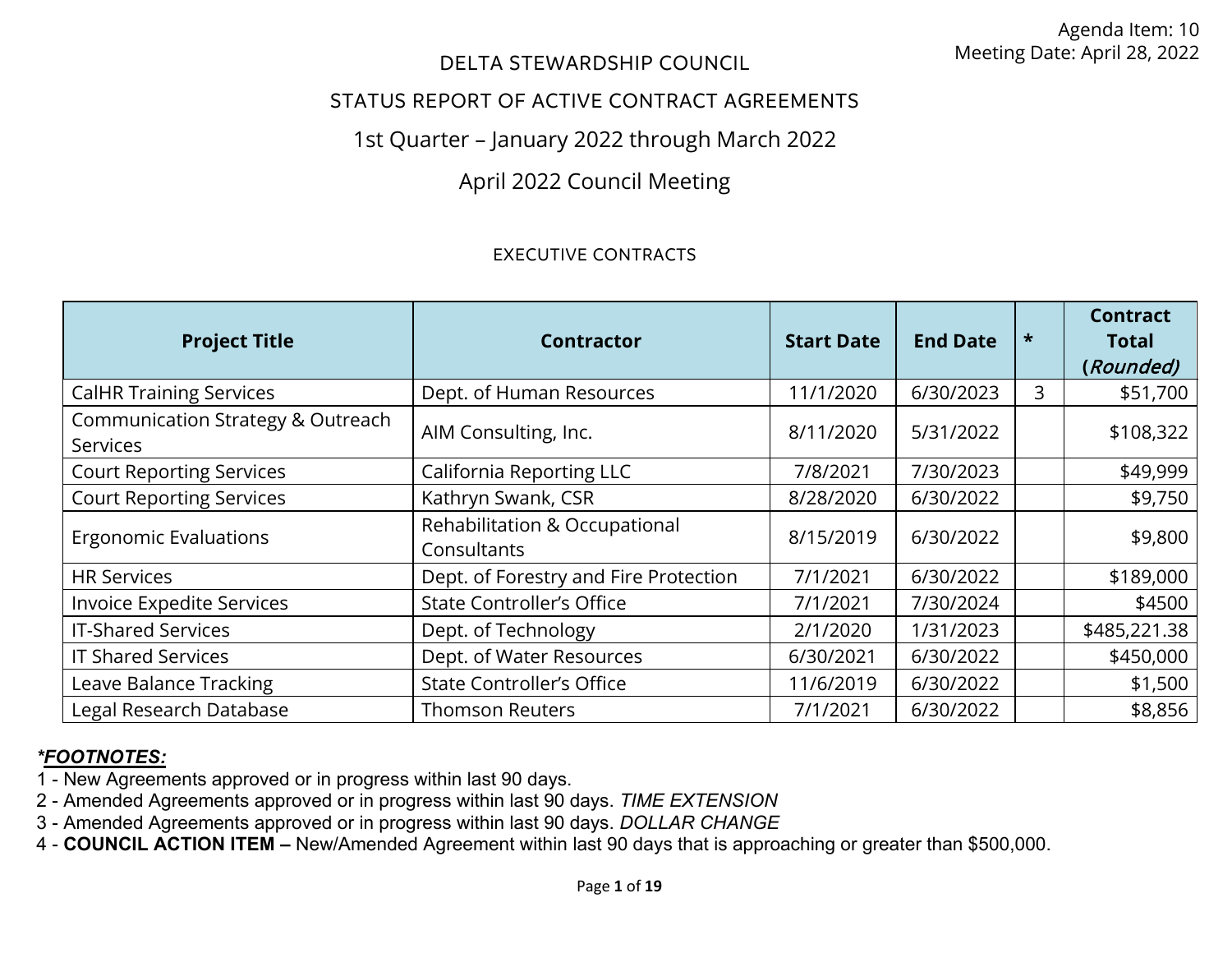DELTA STEWARDSHIP COUNCIL

## STATUS REPORT OF ACTIVE CONTRACT AGREEMENTS

## 1st Quarter – January 2022 through March 2022

# April 2022 Council Meeting

#### EXECUTIVE CONTRACTS

| <b>Project Title</b>                                 | <b>Contractor</b>                            | <b>Start Date</b> | <b>End Date</b> | $\star$ | <b>Contract</b><br><b>Total</b><br>(Rounded) |
|------------------------------------------------------|----------------------------------------------|-------------------|-----------------|---------|----------------------------------------------|
| <b>CalHR Training Services</b>                       | Dept. of Human Resources                     | 11/1/2020         | 6/30/2023       | 3       | \$51,700                                     |
| Communication Strategy & Outreach<br><b>Services</b> | AIM Consulting, Inc.                         | 8/11/2020         | 5/31/2022       |         | \$108,322                                    |
| <b>Court Reporting Services</b>                      | <b>California Reporting LLC</b>              | 7/8/2021          | 7/30/2023       |         | \$49,999                                     |
| <b>Court Reporting Services</b>                      | Kathryn Swank, CSR                           | 8/28/2020         | 6/30/2022       |         | \$9,750                                      |
| <b>Ergonomic Evaluations</b>                         | Rehabilitation & Occupational<br>Consultants | 8/15/2019         | 6/30/2022       |         | \$9,800                                      |
| <b>HR Services</b>                                   | Dept. of Forestry and Fire Protection        | 7/1/2021          | 6/30/2022       |         | \$189,000                                    |
| <b>Invoice Expedite Services</b>                     | <b>State Controller's Office</b>             | 7/1/2021          | 7/30/2024       |         | \$4500                                       |
| <b>IT-Shared Services</b>                            | Dept. of Technology                          | 2/1/2020          | 1/31/2023       |         | \$485,221.38                                 |
| <b>IT Shared Services</b>                            | Dept. of Water Resources                     | 6/30/2021         | 6/30/2022       |         | \$450,000                                    |
| Leave Balance Tracking                               | <b>State Controller's Office</b>             | 11/6/2019         | 6/30/2022       |         | \$1,500                                      |
| Legal Research Database                              | <b>Thomson Reuters</b>                       | 7/1/2021          | 6/30/2022       |         | \$8,856                                      |

- 1 New Agreements approved or in progress within last 90 days.
- 2 Amended Agreements approved or in progress within last 90 days. *TIME EXTENSION*
- 3 Amended Agreements approved or in progress within last 90 days. *DOLLAR CHANGE*
- 4 **COUNCIL ACTION ITEM** New/Amended Agreement within last 90 days that is approaching or greater than \$500,000.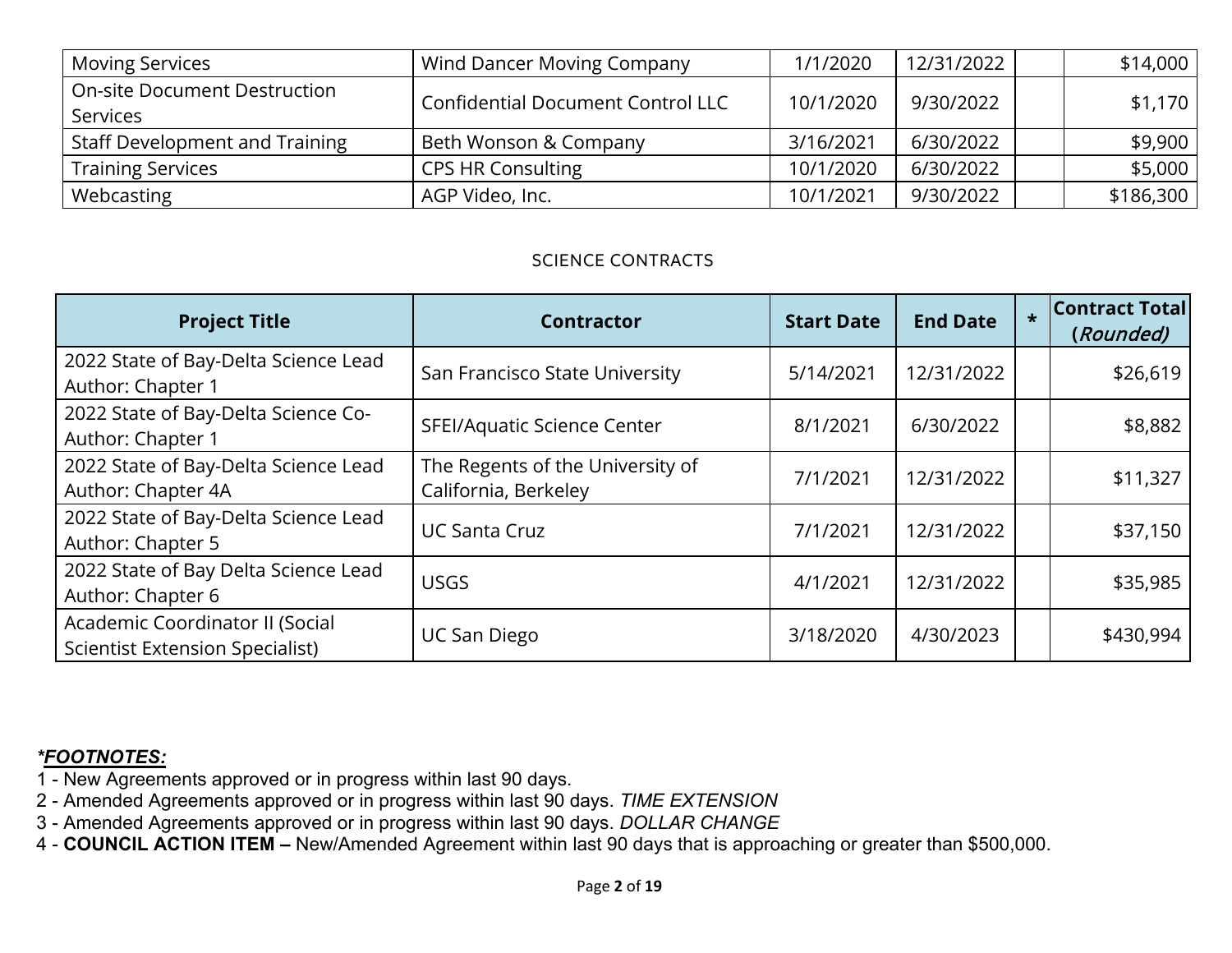| <b>Moving Services</b>              | <b>Wind Dancer Moving Company</b>        | 1/1/2020  | 12/31/2022 | \$14,000  |
|-------------------------------------|------------------------------------------|-----------|------------|-----------|
| <b>On-site Document Destruction</b> | <b>Confidential Document Control LLC</b> | 10/1/2020 | 9/30/2022  | \$1,170   |
| Services                            |                                          |           |            |           |
| Staff Development and Training      | Beth Wonson & Company                    | 3/16/2021 | 6/30/2022  | \$9,900   |
| <b>Training Services</b>            | <b>CPS HR Consulting</b>                 | 10/1/2020 | 6/30/2022  | \$5,000   |
| Webcasting                          | AGP Video, Inc.                          | 10/1/2021 | 9/30/2022  | \$186,300 |

#### SCIENCE CONTRACTS

| <b>Project Title</b>                                                      | <b>Contractor</b>                                        | <b>Start Date</b> | <b>End Date</b> | $\star$ | <b>Contract Total</b><br>(Rounded) |
|---------------------------------------------------------------------------|----------------------------------------------------------|-------------------|-----------------|---------|------------------------------------|
| 2022 State of Bay-Delta Science Lead<br>Author: Chapter 1                 | San Francisco State University                           | 5/14/2021         | 12/31/2022      |         | \$26,619                           |
| 2022 State of Bay-Delta Science Co-<br>Author: Chapter 1                  | <b>SFEI/Aquatic Science Center</b>                       | 8/1/2021          | 6/30/2022       |         | \$8,882                            |
| 2022 State of Bay-Delta Science Lead<br>Author: Chapter 4A                | The Regents of the University of<br>California, Berkeley | 7/1/2021          | 12/31/2022      |         | \$11,327                           |
| 2022 State of Bay-Delta Science Lead<br>Author: Chapter 5                 | <b>UC Santa Cruz</b>                                     | 7/1/2021          | 12/31/2022      |         | \$37,150                           |
| 2022 State of Bay Delta Science Lead<br>Author: Chapter 6                 | <b>USGS</b>                                              | 4/1/2021          | 12/31/2022      |         | \$35,985                           |
| Academic Coordinator II (Social<br><b>Scientist Extension Specialist)</b> | <b>UC San Diego</b>                                      | 3/18/2020         | 4/30/2023       |         | \$430,994                          |

- 1 New Agreements approved or in progress within last 90 days.
- 2 Amended Agreements approved or in progress within last 90 days. *TIME EXTENSION*
- 3 Amended Agreements approved or in progress within last 90 days. *DOLLAR CHANGE*
- 4 **COUNCIL ACTION ITEM** New/Amended Agreement within last 90 days that is approaching or greater than \$500,000.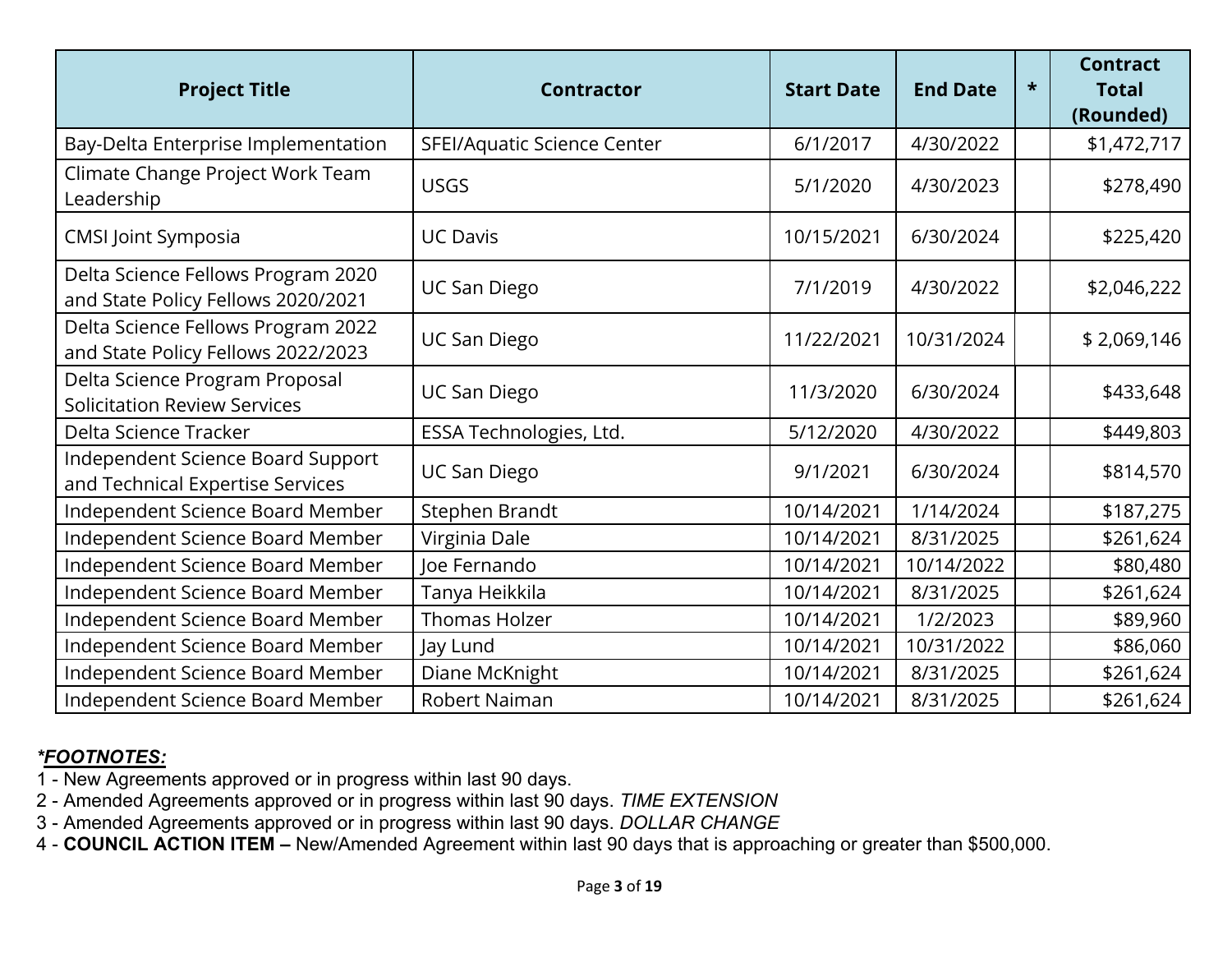| <b>Project Title</b>                                                     | <b>Contractor</b>           | <b>Start Date</b> | <b>End Date</b> | $\star$ | <b>Contract</b><br><b>Total</b><br>(Rounded) |
|--------------------------------------------------------------------------|-----------------------------|-------------------|-----------------|---------|----------------------------------------------|
| Bay-Delta Enterprise Implementation                                      | SFEI/Aquatic Science Center | 6/1/2017          | 4/30/2022       |         | \$1,472,717                                  |
| Climate Change Project Work Team<br>Leadership                           | <b>USGS</b>                 | 5/1/2020          | 4/30/2023       |         | \$278,490                                    |
| <b>CMSI Joint Symposia</b>                                               | <b>UC Davis</b>             | 10/15/2021        | 6/30/2024       |         | \$225,420                                    |
| Delta Science Fellows Program 2020<br>and State Policy Fellows 2020/2021 | <b>UC San Diego</b>         | 7/1/2019          | 4/30/2022       |         | \$2,046,222                                  |
| Delta Science Fellows Program 2022<br>and State Policy Fellows 2022/2023 | <b>UC San Diego</b>         | 11/22/2021        | 10/31/2024      |         | \$2,069,146                                  |
| Delta Science Program Proposal<br><b>Solicitation Review Services</b>    | <b>UC San Diego</b>         | 11/3/2020         | 6/30/2024       |         | \$433,648                                    |
| Delta Science Tracker                                                    | ESSA Technologies, Ltd.     | 5/12/2020         | 4/30/2022       |         | \$449,803                                    |
| Independent Science Board Support<br>and Technical Expertise Services    | <b>UC San Diego</b>         | 9/1/2021          | 6/30/2024       |         | \$814,570                                    |
| Independent Science Board Member                                         | Stephen Brandt              | 10/14/2021        | 1/14/2024       |         | \$187,275                                    |
| Independent Science Board Member                                         | Virginia Dale               | 10/14/2021        | 8/31/2025       |         | \$261,624                                    |
| Independent Science Board Member                                         | Joe Fernando                | 10/14/2021        | 10/14/2022      |         | \$80,480                                     |
| Independent Science Board Member                                         | Tanya Heikkila              | 10/14/2021        | 8/31/2025       |         | \$261,624                                    |
| Independent Science Board Member                                         | Thomas Holzer               | 10/14/2021        | 1/2/2023        |         | \$89,960                                     |
| Independent Science Board Member                                         | Jay Lund                    | 10/14/2021        | 10/31/2022      |         | \$86,060                                     |
| Independent Science Board Member                                         | Diane McKnight              | 10/14/2021        | 8/31/2025       |         | \$261,624                                    |
| Independent Science Board Member                                         | Robert Naiman               | 10/14/2021        | 8/31/2025       |         | \$261,624                                    |

- 1 New Agreements approved or in progress within last 90 days.
- 2 Amended Agreements approved or in progress within last 90 days. *TIME EXTENSION*
- 3 Amended Agreements approved or in progress within last 90 days. *DOLLAR CHANGE*
- 4 **COUNCIL ACTION ITEM** New/Amended Agreement within last 90 days that is approaching or greater than \$500,000.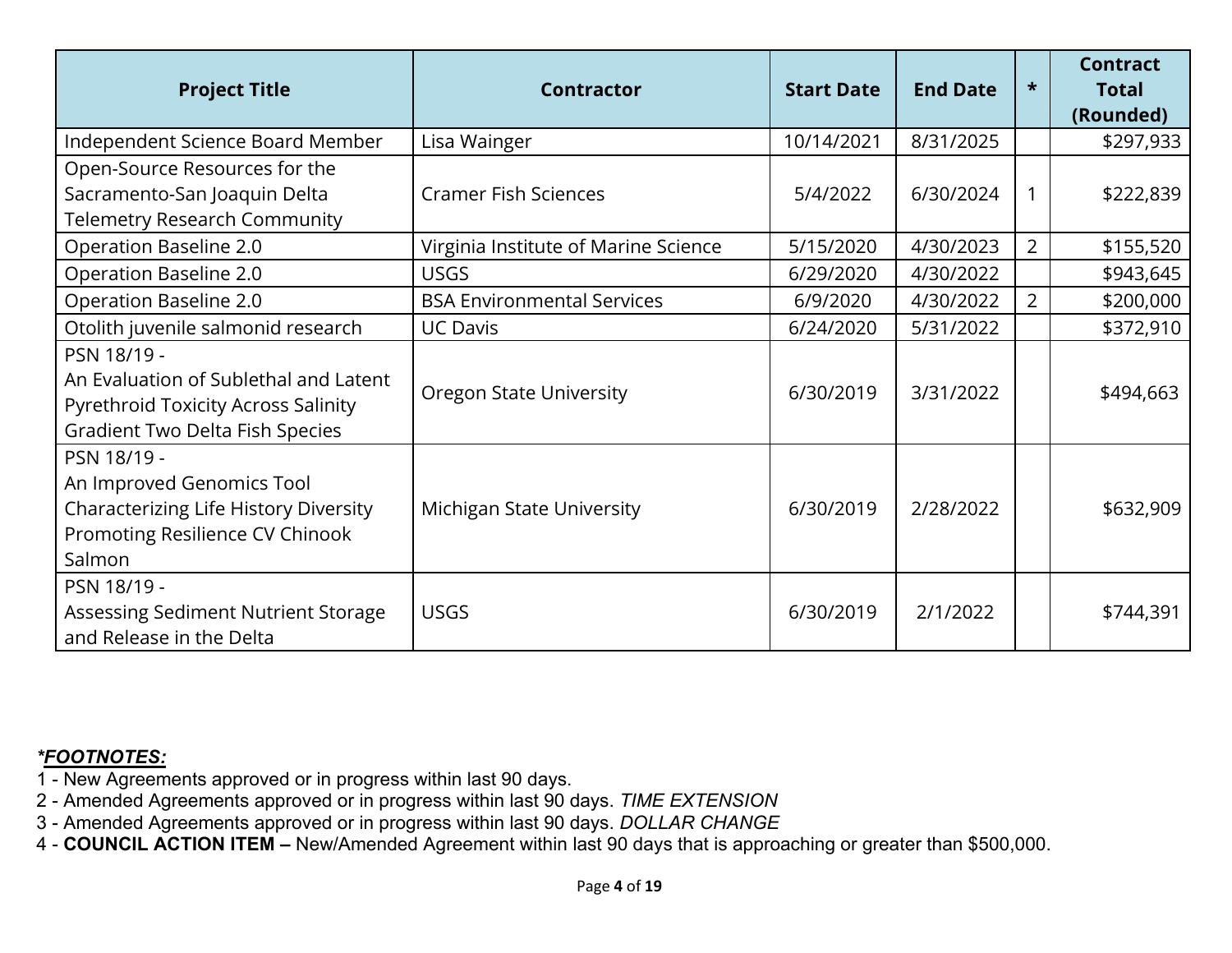| <b>Project Title</b>                                                                                                                         | <b>Contractor</b>                    | <b>Start Date</b> | <b>End Date</b> | $\star$        | <b>Contract</b><br><b>Total</b><br>(Rounded) |
|----------------------------------------------------------------------------------------------------------------------------------------------|--------------------------------------|-------------------|-----------------|----------------|----------------------------------------------|
| Independent Science Board Member                                                                                                             | Lisa Wainger                         | 10/14/2021        | 8/31/2025       |                | \$297,933                                    |
| Open-Source Resources for the<br>Sacramento-San Joaquin Delta<br><b>Telemetry Research Community</b>                                         | <b>Cramer Fish Sciences</b>          | 5/4/2022          | 6/30/2024       | $\mathbf{1}$   | \$222,839                                    |
| Operation Baseline 2.0                                                                                                                       | Virginia Institute of Marine Science | 5/15/2020         | 4/30/2023       | $\overline{2}$ | \$155,520                                    |
| <b>Operation Baseline 2.0</b>                                                                                                                | <b>USGS</b>                          | 6/29/2020         | 4/30/2022       |                | \$943,645                                    |
| Operation Baseline 2.0                                                                                                                       | <b>BSA Environmental Services</b>    | 6/9/2020          | 4/30/2022       | $\overline{2}$ | \$200,000                                    |
| Otolith juvenile salmonid research                                                                                                           | <b>UC Davis</b>                      | 6/24/2020         | 5/31/2022       |                | \$372,910                                    |
| PSN 18/19 -<br>An Evaluation of Sublethal and Latent<br><b>Pyrethroid Toxicity Across Salinity</b><br><b>Gradient Two Delta Fish Species</b> | <b>Oregon State University</b>       | 6/30/2019         | 3/31/2022       |                | \$494,663                                    |
| PSN 18/19 -<br>An Improved Genomics Tool<br>Characterizing Life History Diversity<br>Promoting Resilience CV Chinook<br>Salmon               | Michigan State University            | 6/30/2019         | 2/28/2022       |                | \$632,909                                    |
| PSN 18/19 -<br>Assessing Sediment Nutrient Storage<br>and Release in the Delta                                                               | <b>USGS</b>                          | 6/30/2019         | 2/1/2022        |                | \$744,391                                    |

- 1 New Agreements approved or in progress within last 90 days.
- 2 Amended Agreements approved or in progress within last 90 days. *TIME EXTENSION*
- 3 Amended Agreements approved or in progress within last 90 days. *DOLLAR CHANGE*
- 4 **COUNCIL ACTION ITEM** New/Amended Agreement within last 90 days that is approaching or greater than \$500,000.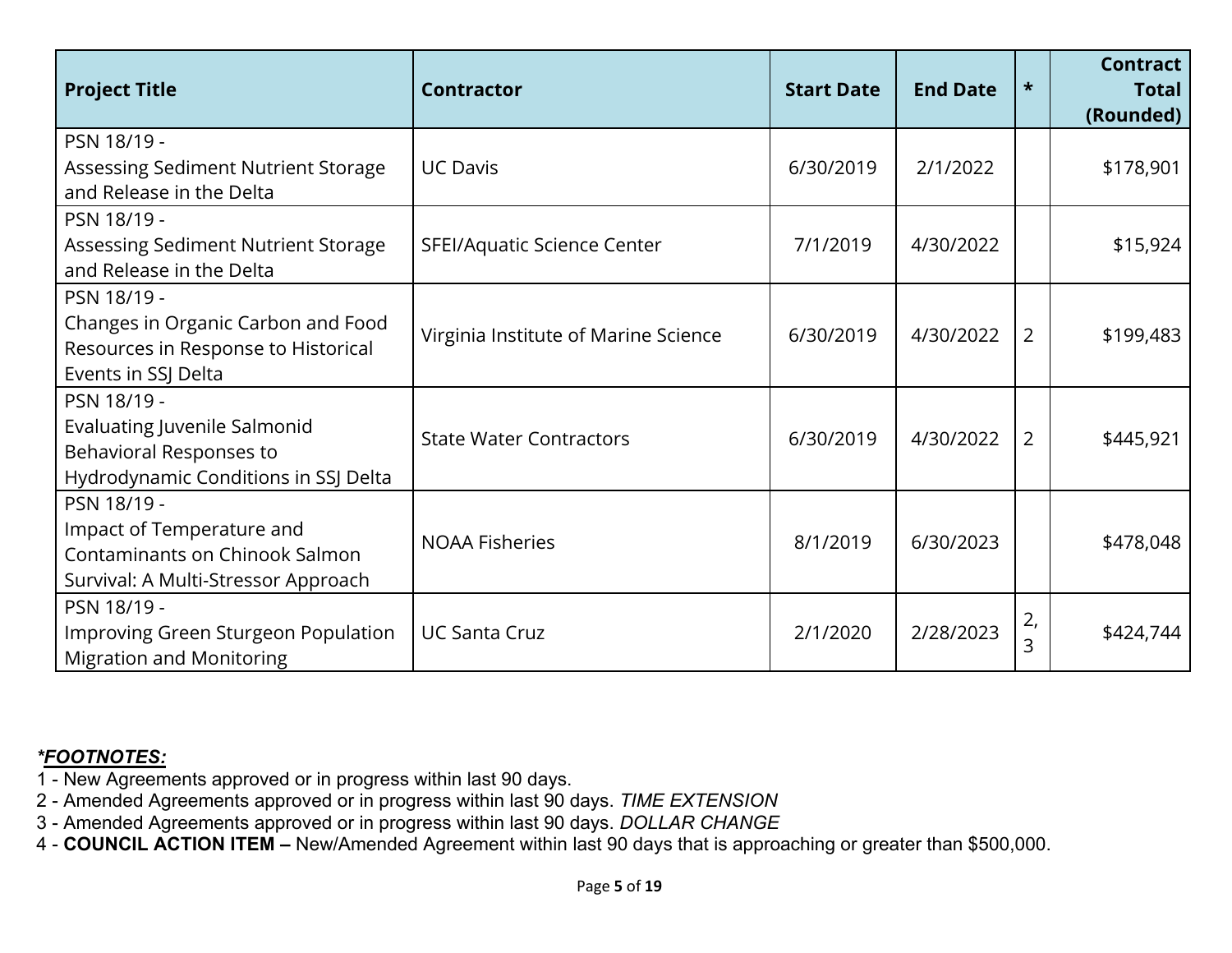| <b>Project Title</b>                                                                                                  | <b>Contractor</b>                    | <b>Start Date</b> | <b>End Date</b> | $\star$        | <b>Contract</b><br><b>Total</b><br>(Rounded) |
|-----------------------------------------------------------------------------------------------------------------------|--------------------------------------|-------------------|-----------------|----------------|----------------------------------------------|
| PSN 18/19 -<br>Assessing Sediment Nutrient Storage<br>and Release in the Delta                                        | <b>UC Davis</b>                      | 6/30/2019         | 2/1/2022        |                | \$178,901                                    |
| PSN 18/19 -<br>Assessing Sediment Nutrient Storage<br>and Release in the Delta                                        | SFEI/Aquatic Science Center          | 7/1/2019          | 4/30/2022       |                | \$15,924                                     |
| PSN 18/19 -<br>Changes in Organic Carbon and Food<br>Resources in Response to Historical<br>Events in SSJ Delta       | Virginia Institute of Marine Science | 6/30/2019         | 4/30/2022       | $\overline{2}$ | \$199,483                                    |
| PSN 18/19 -<br><b>Evaluating Juvenile Salmonid</b><br>Behavioral Responses to<br>Hydrodynamic Conditions in SSJ Delta | <b>State Water Contractors</b>       | 6/30/2019         | 4/30/2022       | $\overline{2}$ | \$445,921                                    |
| PSN 18/19 -<br>Impact of Temperature and<br>Contaminants on Chinook Salmon<br>Survival: A Multi-Stressor Approach     | <b>NOAA Fisheries</b>                | 8/1/2019          | 6/30/2023       |                | \$478,048                                    |
| PSN 18/19 -<br>Improving Green Sturgeon Population<br><b>Migration and Monitoring</b>                                 | <b>UC Santa Cruz</b>                 | 2/1/2020          | 2/28/2023       | 2,<br>3        | \$424,744                                    |

- 1 New Agreements approved or in progress within last 90 days.
- 2 Amended Agreements approved or in progress within last 90 days. *TIME EXTENSION*
- 3 Amended Agreements approved or in progress within last 90 days. *DOLLAR CHANGE*
- 4 **COUNCIL ACTION ITEM** New/Amended Agreement within last 90 days that is approaching or greater than \$500,000.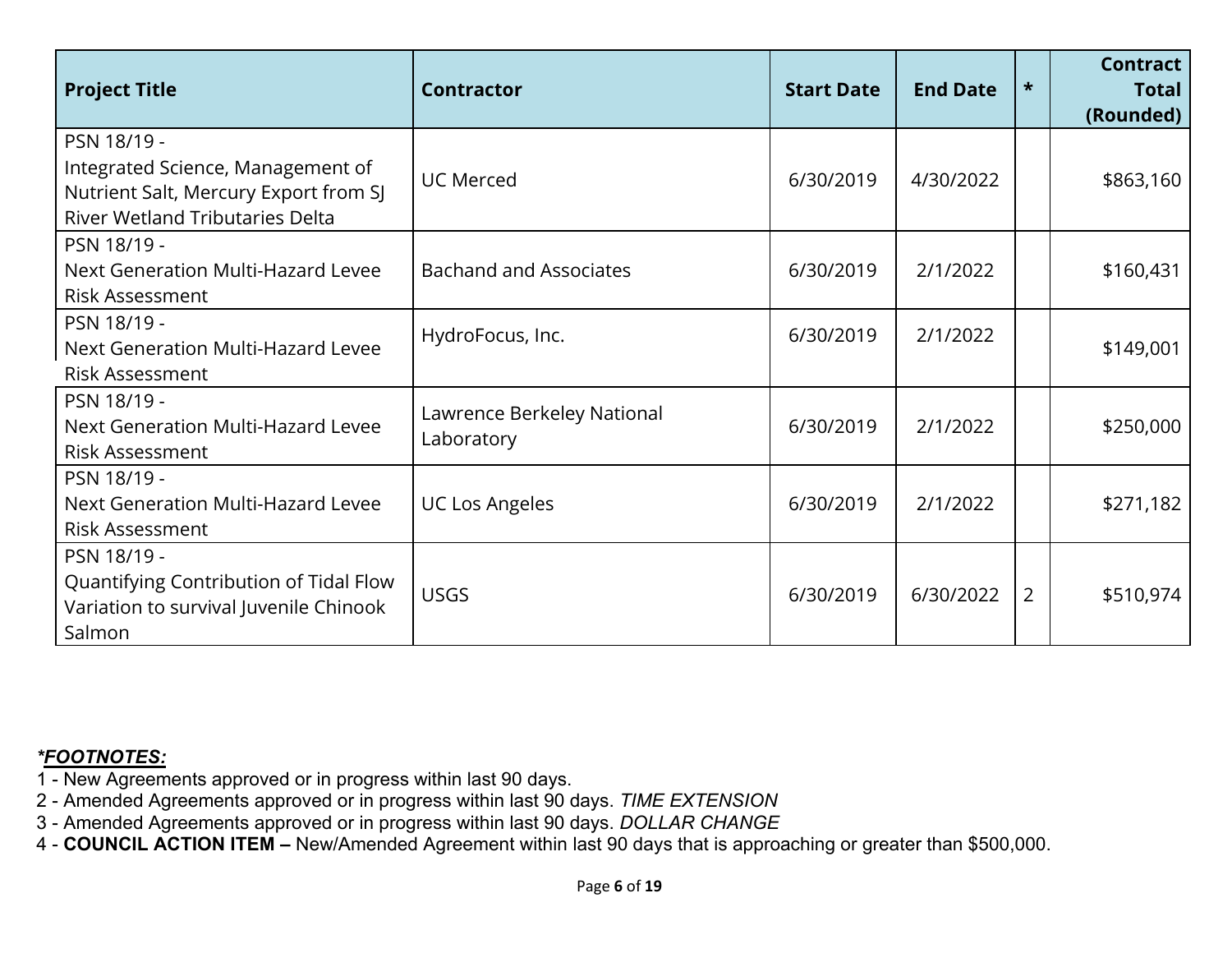| <b>Project Title</b>                                                                                                                | <b>Contractor</b>                        | <b>Start Date</b> | <b>End Date</b> | $\star$        | <b>Contract</b><br><b>Total</b><br>(Rounded) |
|-------------------------------------------------------------------------------------------------------------------------------------|------------------------------------------|-------------------|-----------------|----------------|----------------------------------------------|
| PSN 18/19 -<br>Integrated Science, Management of<br>Nutrient Salt, Mercury Export from SJ<br><b>River Wetland Tributaries Delta</b> | <b>UC Merced</b>                         | 6/30/2019         | 4/30/2022       |                | \$863,160                                    |
| PSN 18/19 -<br>Next Generation Multi-Hazard Levee<br><b>Risk Assessment</b>                                                         | <b>Bachand and Associates</b>            | 6/30/2019         | 2/1/2022        |                | \$160,431                                    |
| PSN 18/19 -<br>Next Generation Multi-Hazard Levee<br><b>Risk Assessment</b>                                                         | HydroFocus, Inc.                         | 6/30/2019         | 2/1/2022        |                | \$149,001                                    |
| PSN 18/19 -<br>Next Generation Multi-Hazard Levee<br><b>Risk Assessment</b>                                                         | Lawrence Berkeley National<br>Laboratory | 6/30/2019         | 2/1/2022        |                | \$250,000                                    |
| PSN 18/19 -<br>Next Generation Multi-Hazard Levee<br><b>Risk Assessment</b>                                                         | <b>UC Los Angeles</b>                    | 6/30/2019         | 2/1/2022        |                | \$271,182                                    |
| PSN 18/19 -<br>Quantifying Contribution of Tidal Flow<br>Variation to survival Juvenile Chinook<br>Salmon                           | <b>USGS</b>                              | 6/30/2019         | 6/30/2022       | $\overline{2}$ | \$510,974                                    |

- 1 New Agreements approved or in progress within last 90 days.
- 2 Amended Agreements approved or in progress within last 90 days. *TIME EXTENSION*
- 3 Amended Agreements approved or in progress within last 90 days. *DOLLAR CHANGE*
- 4 **COUNCIL ACTION ITEM** New/Amended Agreement within last 90 days that is approaching or greater than \$500,000.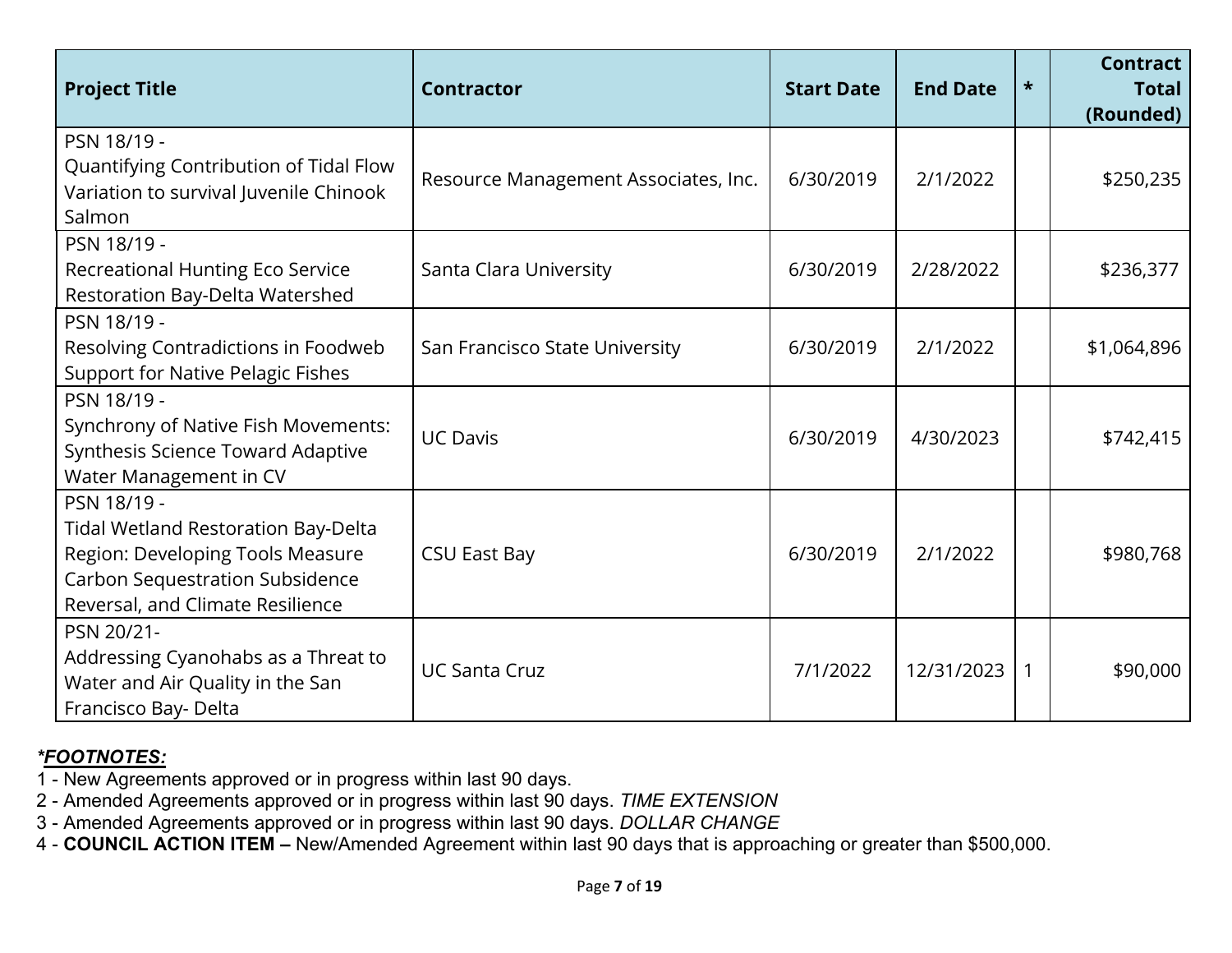| <b>Project Title</b>                                                                                                                                                 | <b>Contractor</b>                    | <b>Start Date</b> | <b>End Date</b> | $\star$ | <b>Contract</b><br><b>Total</b><br>(Rounded) |
|----------------------------------------------------------------------------------------------------------------------------------------------------------------------|--------------------------------------|-------------------|-----------------|---------|----------------------------------------------|
| PSN 18/19 -<br>Quantifying Contribution of Tidal Flow<br>Variation to survival Juvenile Chinook<br>Salmon                                                            | Resource Management Associates, Inc. | 6/30/2019         | 2/1/2022        |         | \$250,235                                    |
| PSN 18/19 -<br>Recreational Hunting Eco Service<br>Restoration Bay-Delta Watershed                                                                                   | Santa Clara University               | 6/30/2019         | 2/28/2022       |         | \$236,377                                    |
| PSN 18/19 -<br>Resolving Contradictions in Foodweb<br><b>Support for Native Pelagic Fishes</b>                                                                       | San Francisco State University       | 6/30/2019         | 2/1/2022        |         | \$1,064,896                                  |
| PSN 18/19 -<br><b>Synchrony of Native Fish Movements:</b><br>Synthesis Science Toward Adaptive<br>Water Management in CV                                             | <b>UC Davis</b>                      | 6/30/2019         | 4/30/2023       |         | \$742,415                                    |
| PSN 18/19 -<br>Tidal Wetland Restoration Bay-Delta<br>Region: Developing Tools Measure<br><b>Carbon Sequestration Subsidence</b><br>Reversal, and Climate Resilience | <b>CSU East Bay</b>                  | 6/30/2019         | 2/1/2022        |         | \$980,768                                    |
| PSN 20/21-<br>Addressing Cyanohabs as a Threat to<br>Water and Air Quality in the San<br>Francisco Bay- Delta                                                        | <b>UC Santa Cruz</b>                 | 7/1/2022          | 12/31/2023      | 1       | \$90,000                                     |

1 - New Agreements approved or in progress within last 90 days.

2 - Amended Agreements approved or in progress within last 90 days. *TIME EXTENSION* 

3 - Amended Agreements approved or in progress within last 90 days. *DOLLAR CHANGE* 

4 - **COUNCIL ACTION ITEM –** New/Amended Agreement within last 90 days that is approaching or greater than \$500,000.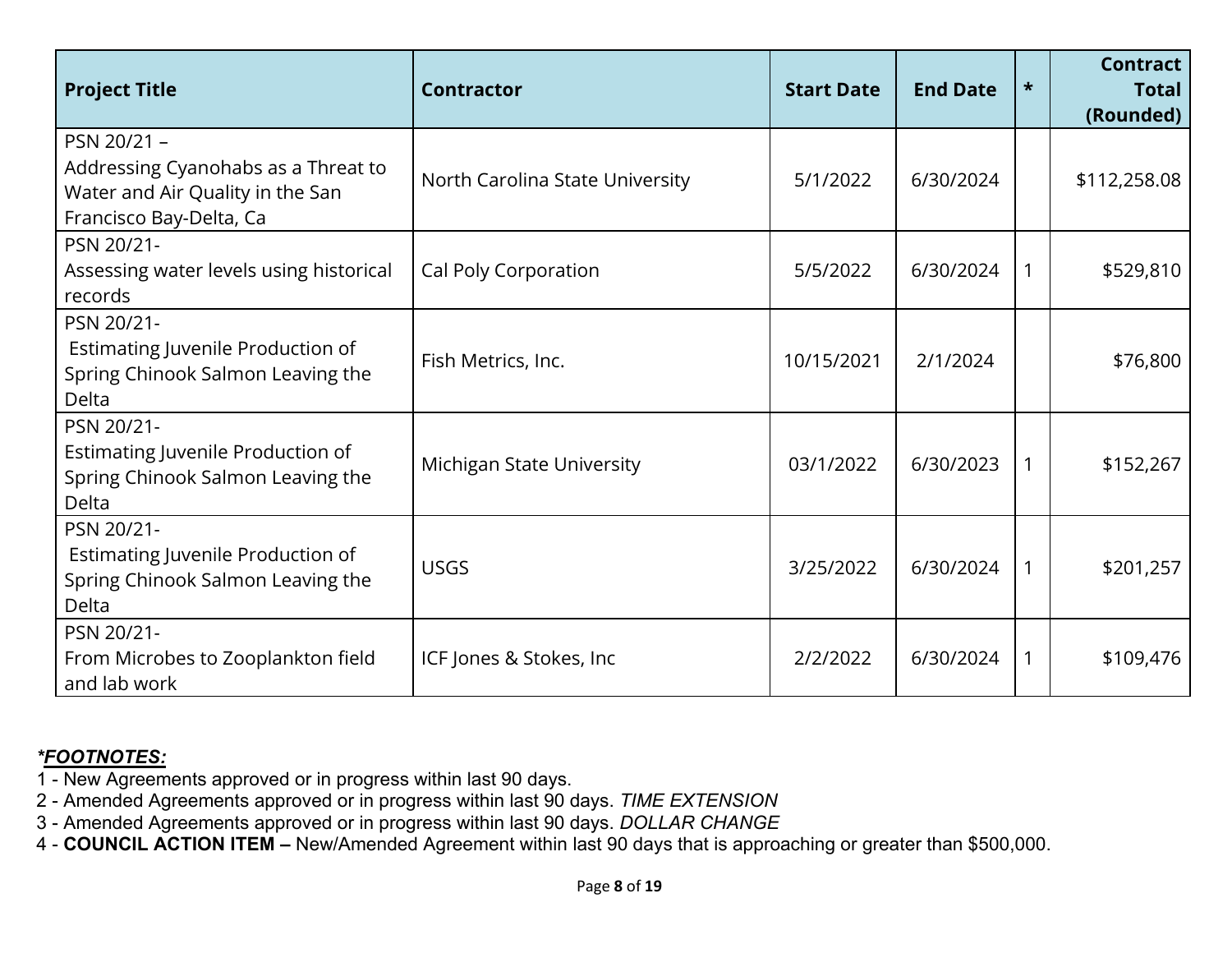| <b>Project Title</b>                                                                                              | <b>Contractor</b>                | <b>Start Date</b> | <b>End Date</b> | $\star$      | <b>Contract</b><br><b>Total</b><br>(Rounded) |
|-------------------------------------------------------------------------------------------------------------------|----------------------------------|-------------------|-----------------|--------------|----------------------------------------------|
| PSN 20/21 -<br>Addressing Cyanohabs as a Threat to<br>Water and Air Quality in the San<br>Francisco Bay-Delta, Ca | North Carolina State University  | 5/1/2022          | 6/30/2024       |              | \$112,258.08                                 |
| PSN 20/21-<br>Assessing water levels using historical<br>records                                                  | Cal Poly Corporation             | 5/5/2022          | 6/30/2024       |              | \$529,810                                    |
| PSN 20/21-<br>Estimating Juvenile Production of<br>Spring Chinook Salmon Leaving the<br>Delta                     | Fish Metrics, Inc.               | 10/15/2021        | 2/1/2024        |              | \$76,800                                     |
| PSN 20/21-<br>Estimating Juvenile Production of<br>Spring Chinook Salmon Leaving the<br>Delta                     | <b>Michigan State University</b> | 03/1/2022         | 6/30/2023       | $\mathbf{1}$ | \$152,267                                    |
| PSN 20/21-<br>Estimating Juvenile Production of<br>Spring Chinook Salmon Leaving the<br>Delta                     | <b>USGS</b>                      | 3/25/2022         | 6/30/2024       | 1            | \$201,257                                    |
| PSN 20/21-<br>From Microbes to Zooplankton field<br>and lab work                                                  | ICF Jones & Stokes, Inc.         | 2/2/2022          | 6/30/2024       | 1            | \$109,476                                    |

- 1 New Agreements approved or in progress within last 90 days.
- 2 Amended Agreements approved or in progress within last 90 days. *TIME EXTENSION*
- 3 Amended Agreements approved or in progress within last 90 days. *DOLLAR CHANGE*
- 4 **COUNCIL ACTION ITEM** New/Amended Agreement within last 90 days that is approaching or greater than \$500,000.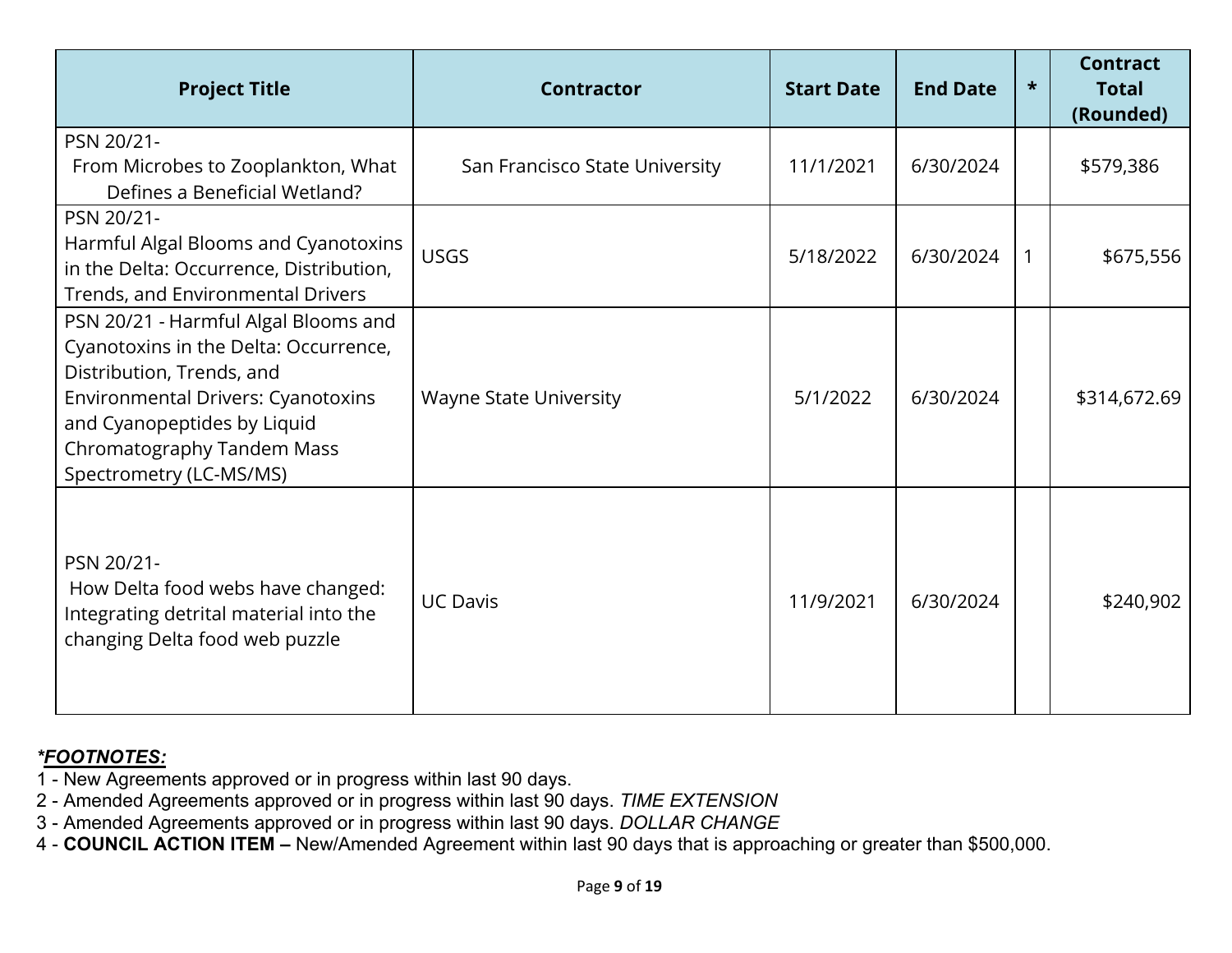| <b>Project Title</b>                                                                                                                                                                                                                            | <b>Contractor</b>              | <b>Start Date</b> | <b>End Date</b> | $\star$ | <b>Contract</b><br><b>Total</b><br>(Rounded) |
|-------------------------------------------------------------------------------------------------------------------------------------------------------------------------------------------------------------------------------------------------|--------------------------------|-------------------|-----------------|---------|----------------------------------------------|
| PSN 20/21-<br>From Microbes to Zooplankton, What<br>Defines a Beneficial Wetland?                                                                                                                                                               | San Francisco State University | 11/1/2021         | 6/30/2024       |         | \$579,386                                    |
| PSN 20/21-<br>Harmful Algal Blooms and Cyanotoxins<br>in the Delta: Occurrence, Distribution,<br>Trends, and Environmental Drivers                                                                                                              | <b>USGS</b>                    | 5/18/2022         | 6/30/2024       |         | \$675,556                                    |
| PSN 20/21 - Harmful Algal Blooms and<br>Cyanotoxins in the Delta: Occurrence,<br>Distribution, Trends, and<br><b>Environmental Drivers: Cyanotoxins</b><br>and Cyanopeptides by Liquid<br>Chromatography Tandem Mass<br>Spectrometry (LC-MS/MS) | <b>Wayne State University</b>  | 5/1/2022          | 6/30/2024       |         | \$314,672.69                                 |
| PSN 20/21-<br>How Delta food webs have changed:<br>Integrating detrital material into the<br>changing Delta food web puzzle                                                                                                                     | <b>UC Davis</b>                | 11/9/2021         | 6/30/2024       |         | \$240,902                                    |

- 1 New Agreements approved or in progress within last 90 days.
- 2 Amended Agreements approved or in progress within last 90 days. *TIME EXTENSION*
- 3 Amended Agreements approved or in progress within last 90 days. *DOLLAR CHANGE*
- 4 **COUNCIL ACTION ITEM** New/Amended Agreement within last 90 days that is approaching or greater than \$500,000.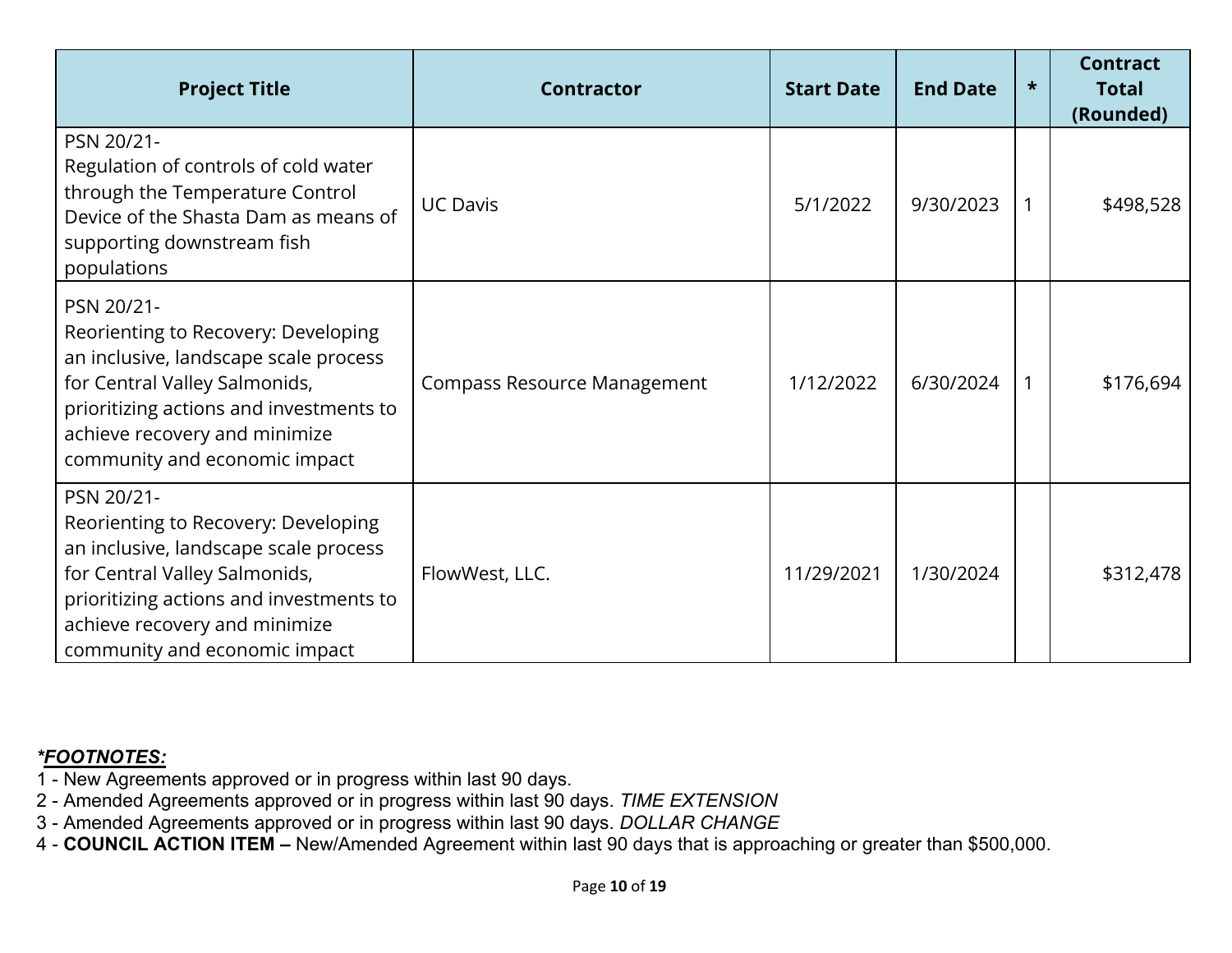| <b>Project Title</b>                                                                                                                                                                                                                     | <b>Contractor</b>                  | <b>Start Date</b> | <b>End Date</b> | $\star$ | <b>Contract</b><br><b>Total</b><br>(Rounded) |
|------------------------------------------------------------------------------------------------------------------------------------------------------------------------------------------------------------------------------------------|------------------------------------|-------------------|-----------------|---------|----------------------------------------------|
| PSN 20/21-<br>Regulation of controls of cold water<br>through the Temperature Control<br>Device of the Shasta Dam as means of<br>supporting downstream fish<br>populations                                                               | <b>UC Davis</b>                    | 5/1/2022          | 9/30/2023       |         | \$498,528                                    |
| PSN 20/21-<br>Reorienting to Recovery: Developing<br>an inclusive, landscape scale process<br>for Central Valley Salmonids,<br>prioritizing actions and investments to<br>achieve recovery and minimize<br>community and economic impact | <b>Compass Resource Management</b> | 1/12/2022         | 6/30/2024       |         | \$176,694                                    |
| PSN 20/21-<br>Reorienting to Recovery: Developing<br>an inclusive, landscape scale process<br>for Central Valley Salmonids,<br>prioritizing actions and investments to<br>achieve recovery and minimize<br>community and economic impact | FlowWest, LLC.                     | 11/29/2021        | 1/30/2024       |         | \$312,478                                    |

- 1 New Agreements approved or in progress within last 90 days.
- 2 Amended Agreements approved or in progress within last 90 days. *TIME EXTENSION*
- 3 Amended Agreements approved or in progress within last 90 days. *DOLLAR CHANGE*
- 4 **COUNCIL ACTION ITEM** New/Amended Agreement within last 90 days that is approaching or greater than \$500,000.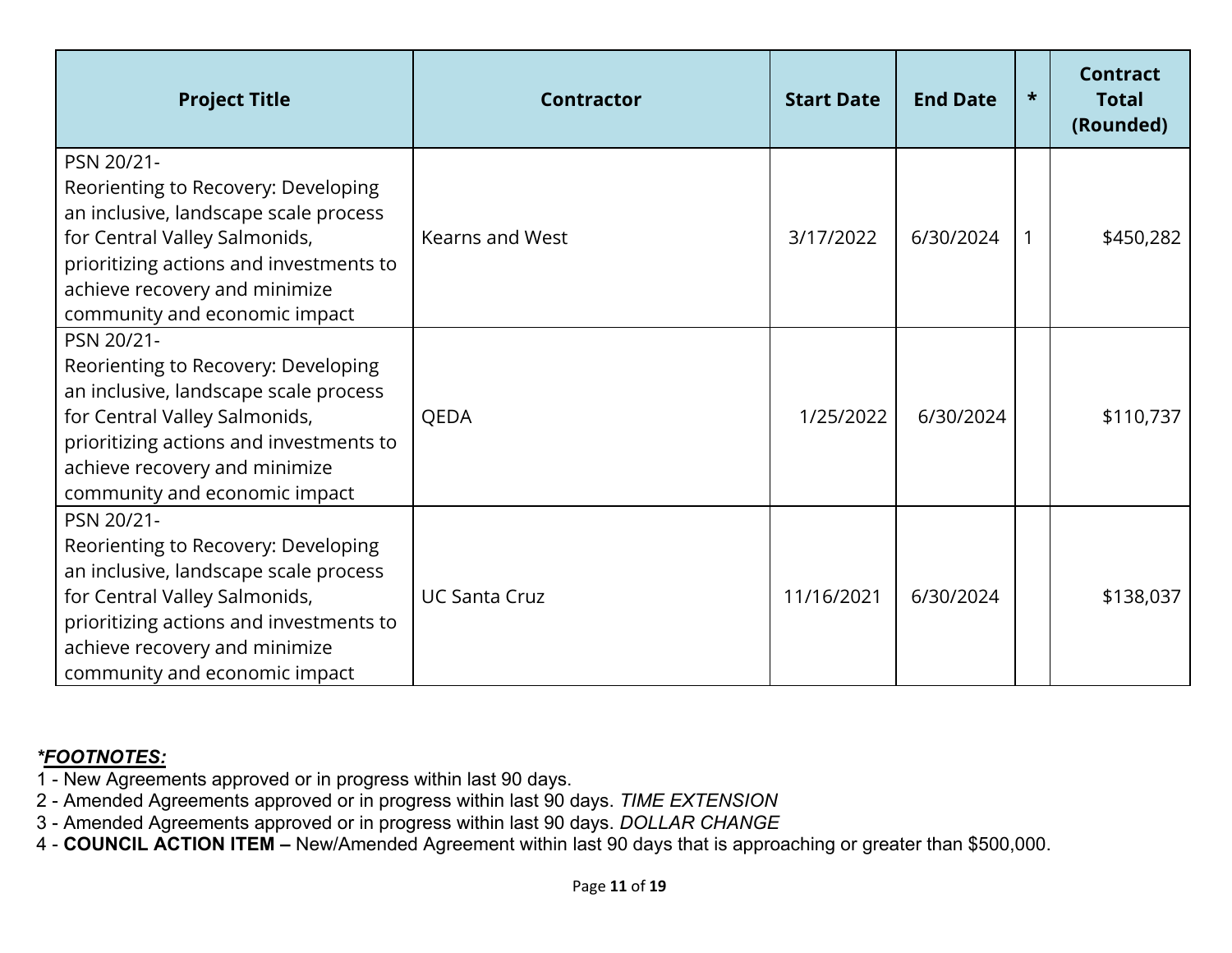| <b>Project Title</b>                                                                                                                                                                                                                     | <b>Contractor</b>    | <b>Start Date</b> | <b>End Date</b> | $\star$ | <b>Contract</b><br><b>Total</b><br>(Rounded) |
|------------------------------------------------------------------------------------------------------------------------------------------------------------------------------------------------------------------------------------------|----------------------|-------------------|-----------------|---------|----------------------------------------------|
| PSN 20/21-<br>Reorienting to Recovery: Developing<br>an inclusive, landscape scale process<br>for Central Valley Salmonids,<br>prioritizing actions and investments to<br>achieve recovery and minimize<br>community and economic impact | Kearns and West      | 3/17/2022         | 6/30/2024       | 1       | \$450,282                                    |
| PSN 20/21-<br>Reorienting to Recovery: Developing<br>an inclusive, landscape scale process<br>for Central Valley Salmonids,<br>prioritizing actions and investments to<br>achieve recovery and minimize<br>community and economic impact | QEDA                 | 1/25/2022         | 6/30/2024       |         | \$110,737                                    |
| PSN 20/21-<br>Reorienting to Recovery: Developing<br>an inclusive, landscape scale process<br>for Central Valley Salmonids,<br>prioritizing actions and investments to<br>achieve recovery and minimize<br>community and economic impact | <b>UC Santa Cruz</b> | 11/16/2021        | 6/30/2024       |         | \$138,037                                    |

- 1 New Agreements approved or in progress within last 90 days.
- 2 Amended Agreements approved or in progress within last 90 days. *TIME EXTENSION*
- 3 Amended Agreements approved or in progress within last 90 days. *DOLLAR CHANGE*
- 4 **COUNCIL ACTION ITEM** New/Amended Agreement within last 90 days that is approaching or greater than \$500,000.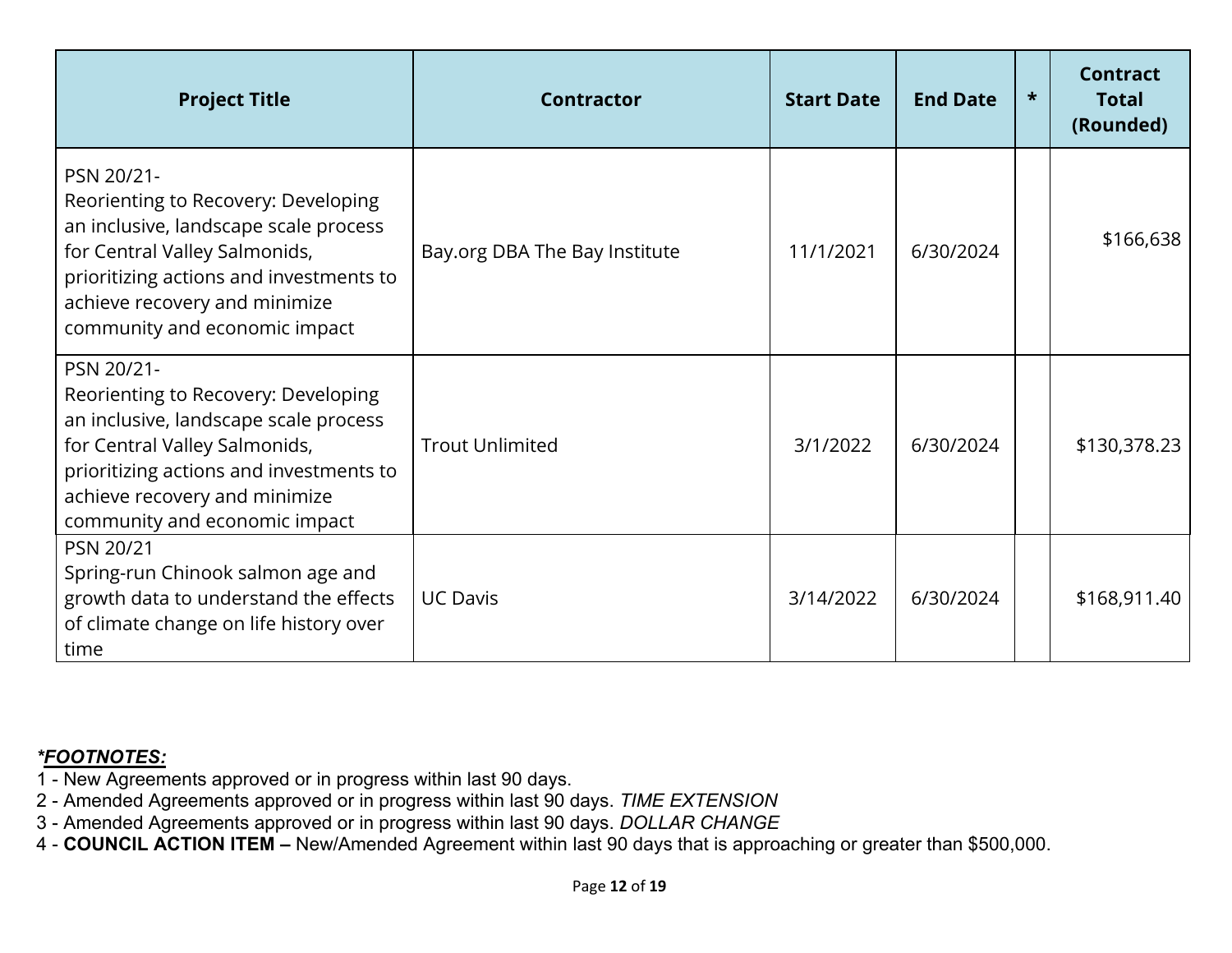| <b>Project Title</b>                                                                                                                                                                                                                     | <b>Contractor</b>             | <b>Start Date</b> | <b>End Date</b> | $\star$ | <b>Contract</b><br><b>Total</b><br>(Rounded) |
|------------------------------------------------------------------------------------------------------------------------------------------------------------------------------------------------------------------------------------------|-------------------------------|-------------------|-----------------|---------|----------------------------------------------|
| PSN 20/21-<br>Reorienting to Recovery: Developing<br>an inclusive, landscape scale process<br>for Central Valley Salmonids,<br>prioritizing actions and investments to<br>achieve recovery and minimize<br>community and economic impact | Bay.org DBA The Bay Institute | 11/1/2021         | 6/30/2024       |         | \$166,638                                    |
| PSN 20/21-<br>Reorienting to Recovery: Developing<br>an inclusive, landscape scale process<br>for Central Valley Salmonids,<br>prioritizing actions and investments to<br>achieve recovery and minimize<br>community and economic impact | <b>Trout Unlimited</b>        | 3/1/2022          | 6/30/2024       |         | \$130,378.23                                 |
| PSN 20/21<br>Spring-run Chinook salmon age and<br>growth data to understand the effects<br>of climate change on life history over<br>time                                                                                                | <b>UC Davis</b>               | 3/14/2022         | 6/30/2024       |         | \$168,911.40                                 |

- 1 New Agreements approved or in progress within last 90 days.
- 2 Amended Agreements approved or in progress within last 90 days. *TIME EXTENSION*
- 3 Amended Agreements approved or in progress within last 90 days. *DOLLAR CHANGE*
- 4 **COUNCIL ACTION ITEM** New/Amended Agreement within last 90 days that is approaching or greater than \$500,000.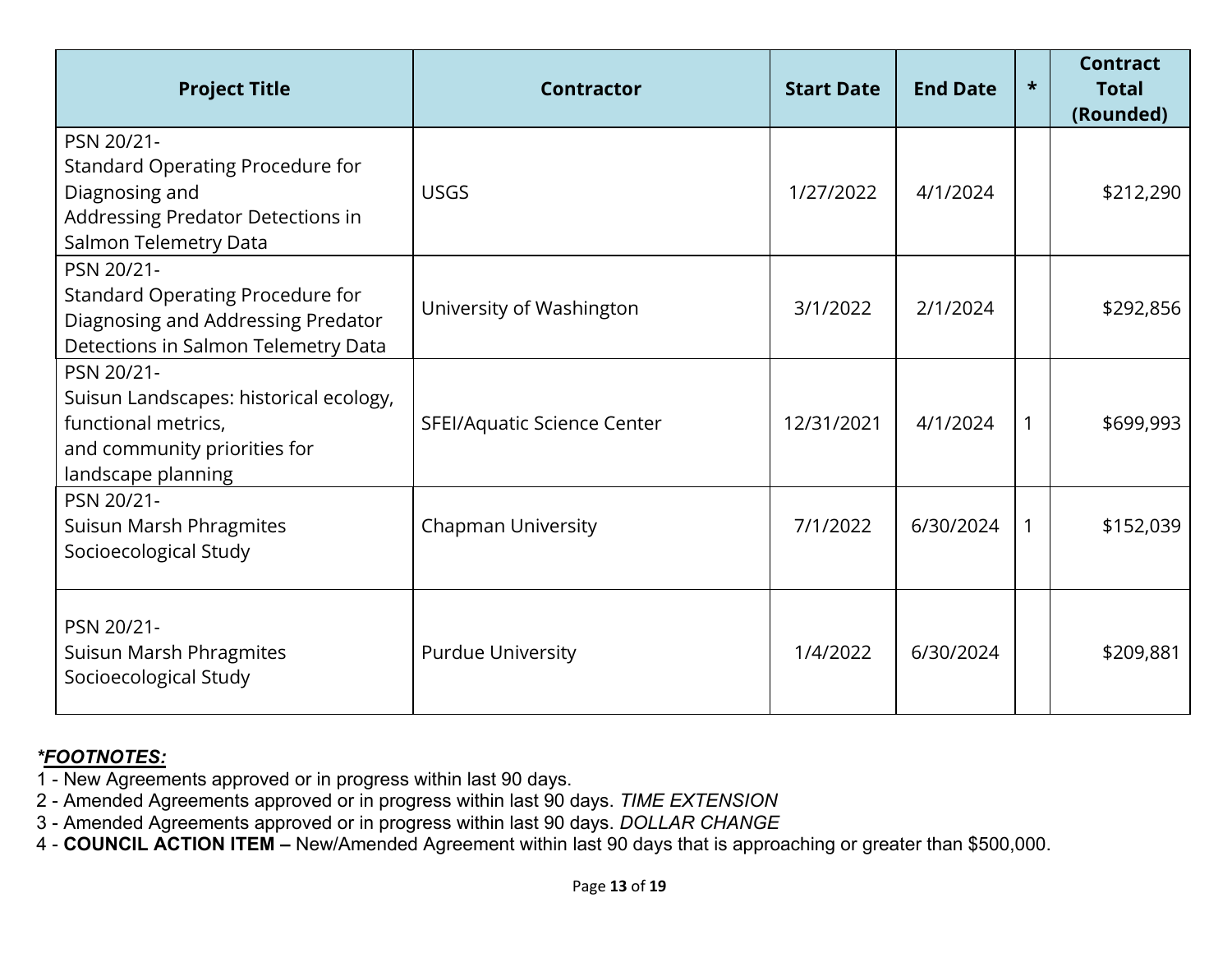| <b>Project Title</b>                                                                                                              | <b>Contractor</b>           | <b>Start Date</b> | <b>End Date</b> | $\star$      | <b>Contract</b><br><b>Total</b><br>(Rounded) |
|-----------------------------------------------------------------------------------------------------------------------------------|-----------------------------|-------------------|-----------------|--------------|----------------------------------------------|
| PSN 20/21-<br>Standard Operating Procedure for<br>Diagnosing and<br>Addressing Predator Detections in<br>Salmon Telemetry Data    | <b>USGS</b>                 | 1/27/2022         | 4/1/2024        |              | \$212,290                                    |
| PSN 20/21-<br>Standard Operating Procedure for<br>Diagnosing and Addressing Predator<br>Detections in Salmon Telemetry Data       | University of Washington    | 3/1/2022          | 2/1/2024        |              | \$292,856                                    |
| PSN 20/21-<br>Suisun Landscapes: historical ecology,<br>functional metrics,<br>and community priorities for<br>landscape planning | SFEI/Aquatic Science Center | 12/31/2021        | 4/1/2024        | $\mathbf{1}$ | \$699,993                                    |
| PSN 20/21-<br>Suisun Marsh Phragmites<br>Socioecological Study                                                                    | <b>Chapman University</b>   | 7/1/2022          | 6/30/2024       | 1            | \$152,039                                    |
| PSN 20/21-<br>Suisun Marsh Phragmites<br>Socioecological Study                                                                    | <b>Purdue University</b>    | 1/4/2022          | 6/30/2024       |              | \$209,881                                    |

- 1 New Agreements approved or in progress within last 90 days.
- 2 Amended Agreements approved or in progress within last 90 days. *TIME EXTENSION*
- 3 Amended Agreements approved or in progress within last 90 days. *DOLLAR CHANGE*
- 4 **COUNCIL ACTION ITEM** New/Amended Agreement within last 90 days that is approaching or greater than \$500,000.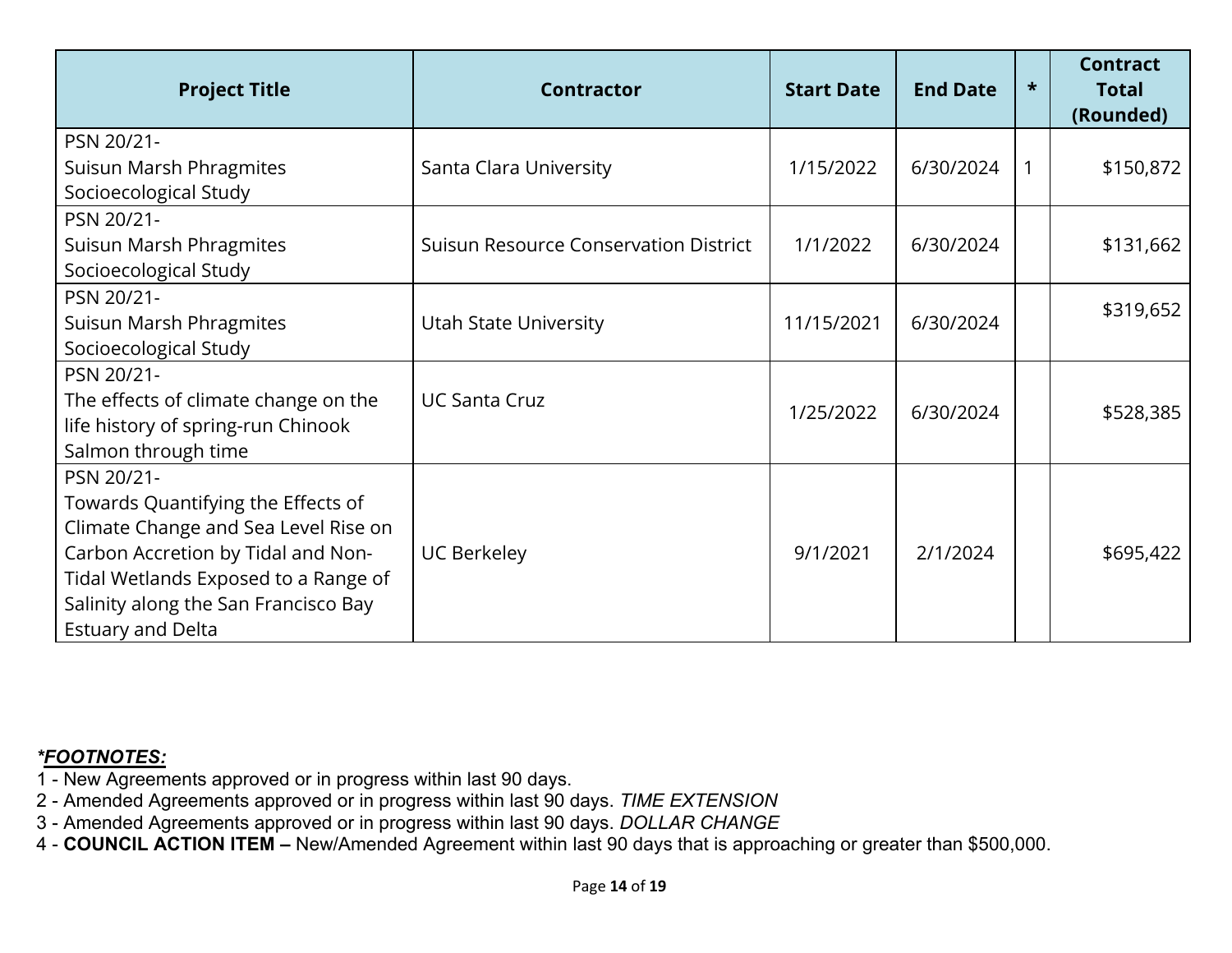| <b>Project Title</b>                  | <b>Contractor</b>                            | <b>Start Date</b> | <b>End Date</b> | $\star$ | <b>Contract</b><br><b>Total</b><br>(Rounded) |
|---------------------------------------|----------------------------------------------|-------------------|-----------------|---------|----------------------------------------------|
| PSN 20/21-<br>Suisun Marsh Phragmites | Santa Clara University                       | 1/15/2022         | 6/30/2024       | 1       | \$150,872                                    |
| Socioecological Study                 |                                              |                   |                 |         |                                              |
| PSN 20/21-                            |                                              |                   |                 |         |                                              |
| Suisun Marsh Phragmites               | <b>Suisun Resource Conservation District</b> | 1/1/2022          | 6/30/2024       |         | \$131,662                                    |
| Socioecological Study                 |                                              |                   |                 |         |                                              |
| PSN 20/21-                            |                                              |                   |                 |         | \$319,652                                    |
| Suisun Marsh Phragmites               | Utah State University                        | 11/15/2021        | 6/30/2024       |         |                                              |
| Socioecological Study                 |                                              |                   |                 |         |                                              |
| PSN 20/21-                            |                                              |                   |                 |         |                                              |
| The effects of climate change on the  | <b>UC Santa Cruz</b>                         | 1/25/2022         | 6/30/2024       |         | \$528,385                                    |
| life history of spring-run Chinook    |                                              |                   |                 |         |                                              |
| Salmon through time                   |                                              |                   |                 |         |                                              |
| PSN 20/21-                            |                                              |                   |                 |         |                                              |
| Towards Quantifying the Effects of    |                                              |                   |                 |         |                                              |
| Climate Change and Sea Level Rise on  |                                              |                   |                 |         |                                              |
| Carbon Accretion by Tidal and Non-    | <b>UC Berkeley</b>                           | 9/1/2021          | 2/1/2024        |         | \$695,422                                    |
| Tidal Wetlands Exposed to a Range of  |                                              |                   |                 |         |                                              |
| Salinity along the San Francisco Bay  |                                              |                   |                 |         |                                              |
| <b>Estuary and Delta</b>              |                                              |                   |                 |         |                                              |

- 1 New Agreements approved or in progress within last 90 days.
- 2 Amended Agreements approved or in progress within last 90 days. *TIME EXTENSION*
- 3 Amended Agreements approved or in progress within last 90 days. *DOLLAR CHANGE*
- 4 **COUNCIL ACTION ITEM** New/Amended Agreement within last 90 days that is approaching or greater than \$500,000.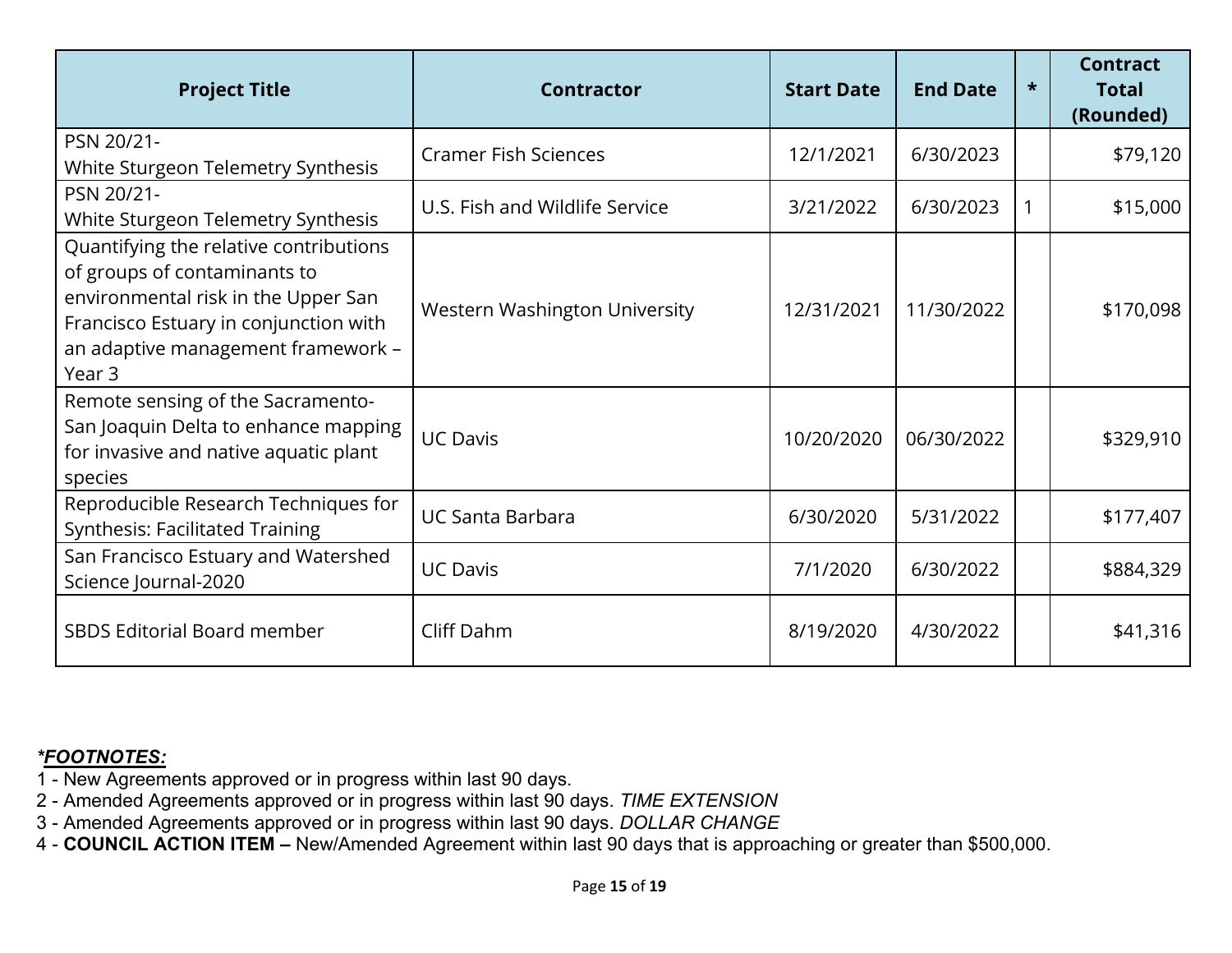| <b>Project Title</b>                                                                                                                                                                                   | <b>Contractor</b>                    | <b>Start Date</b> | <b>End Date</b> | $\star$ | <b>Contract</b><br><b>Total</b><br>(Rounded) |
|--------------------------------------------------------------------------------------------------------------------------------------------------------------------------------------------------------|--------------------------------------|-------------------|-----------------|---------|----------------------------------------------|
| PSN 20/21-<br>White Sturgeon Telemetry Synthesis                                                                                                                                                       | <b>Cramer Fish Sciences</b>          | 12/1/2021         | 6/30/2023       |         | \$79,120                                     |
| PSN 20/21-<br>White Sturgeon Telemetry Synthesis                                                                                                                                                       | U.S. Fish and Wildlife Service       | 3/21/2022         | 6/30/2023       |         | \$15,000                                     |
| Quantifying the relative contributions<br>of groups of contaminants to<br>environmental risk in the Upper San<br>Francisco Estuary in conjunction with<br>an adaptive management framework -<br>Year 3 | <b>Western Washington University</b> | 12/31/2021        | 11/30/2022      |         | \$170,098                                    |
| Remote sensing of the Sacramento-<br>San Joaquin Delta to enhance mapping<br>for invasive and native aquatic plant<br>species                                                                          | <b>UC Davis</b>                      | 10/20/2020        | 06/30/2022      |         | \$329,910                                    |
| Reproducible Research Techniques for<br><b>Synthesis: Facilitated Training</b>                                                                                                                         | <b>UC Santa Barbara</b>              | 6/30/2020         | 5/31/2022       |         | \$177,407                                    |
| San Francisco Estuary and Watershed<br>Science Journal-2020                                                                                                                                            | <b>UC Davis</b>                      | 7/1/2020          | 6/30/2022       |         | \$884,329                                    |
| SBDS Editorial Board member                                                                                                                                                                            | Cliff Dahm                           | 8/19/2020         | 4/30/2022       |         | \$41,316                                     |

- 1 New Agreements approved or in progress within last 90 days.
- 2 Amended Agreements approved or in progress within last 90 days. *TIME EXTENSION*
- 3 Amended Agreements approved or in progress within last 90 days. *DOLLAR CHANGE*
- 4 **COUNCIL ACTION ITEM** New/Amended Agreement within last 90 days that is approaching or greater than \$500,000.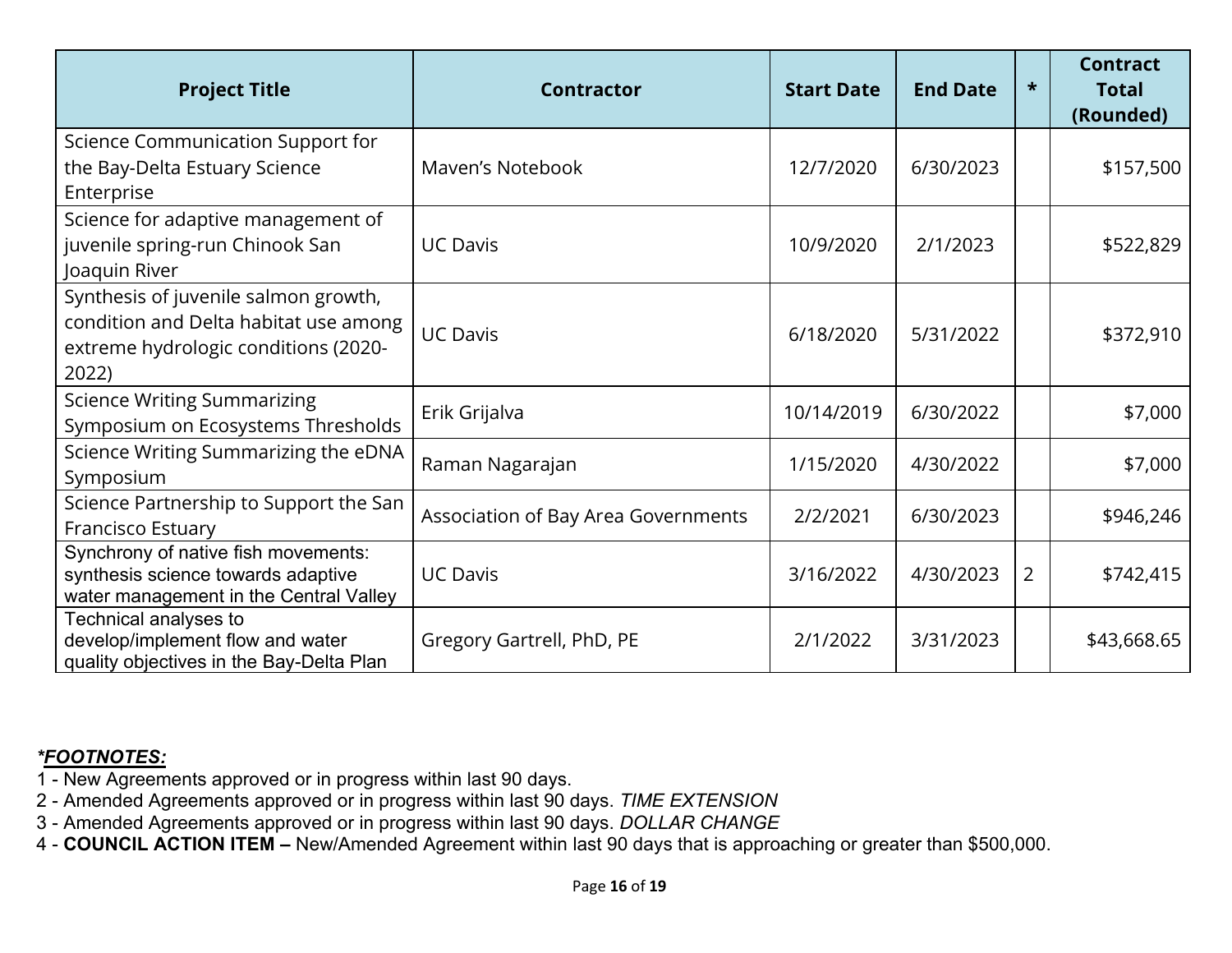| <b>Project Title</b>                                                                                                           | <b>Contractor</b>                   | <b>Start Date</b> | <b>End Date</b> | $\star$        | <b>Contract</b><br><b>Total</b><br>(Rounded) |
|--------------------------------------------------------------------------------------------------------------------------------|-------------------------------------|-------------------|-----------------|----------------|----------------------------------------------|
| Science Communication Support for<br>the Bay-Delta Estuary Science<br>Enterprise                                               | Mayen's Notebook                    | 12/7/2020         | 6/30/2023       |                | \$157,500                                    |
| Science for adaptive management of<br>juvenile spring-run Chinook San<br>Joaquin River                                         | <b>UC Davis</b>                     | 10/9/2020         | 2/1/2023        |                | \$522,829                                    |
| Synthesis of juvenile salmon growth,<br>condition and Delta habitat use among<br>extreme hydrologic conditions (2020-<br>2022) | <b>UC Davis</b>                     | 6/18/2020         | 5/31/2022       |                | \$372,910                                    |
| <b>Science Writing Summarizing</b><br>Symposium on Ecosystems Thresholds                                                       | Erik Grijalva                       | 10/14/2019        | 6/30/2022       |                | \$7,000                                      |
| Science Writing Summarizing the eDNA<br>Symposium                                                                              | Raman Nagarajan                     | 1/15/2020         | 4/30/2022       |                | \$7,000                                      |
| Science Partnership to Support the San<br><b>Francisco Estuary</b>                                                             | Association of Bay Area Governments | 2/2/2021          | 6/30/2023       |                | \$946,246                                    |
| Synchrony of native fish movements:<br>synthesis science towards adaptive<br>water management in the Central Valley            | <b>UC Davis</b>                     | 3/16/2022         | 4/30/2023       | $\overline{2}$ | \$742,415                                    |
| Technical analyses to<br>develop/implement flow and water<br>quality objectives in the Bay-Delta Plan                          | Gregory Gartrell, PhD, PE           | 2/1/2022          | 3/31/2023       |                | \$43,668.65                                  |

- 1 New Agreements approved or in progress within last 90 days.
- 2 Amended Agreements approved or in progress within last 90 days. *TIME EXTENSION*
- 3 Amended Agreements approved or in progress within last 90 days. *DOLLAR CHANGE*
- 4 **COUNCIL ACTION ITEM** New/Amended Agreement within last 90 days that is approaching or greater than \$500,000.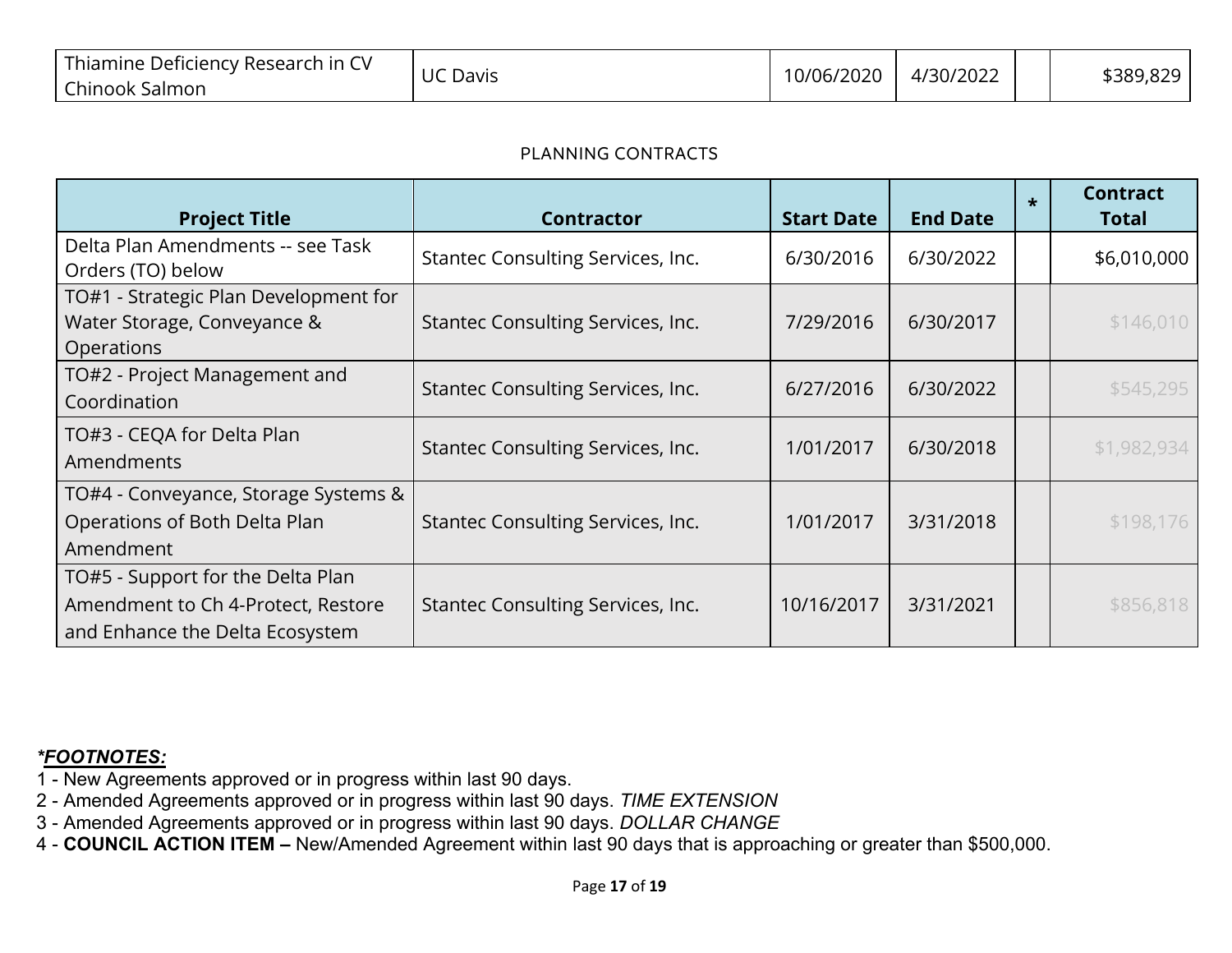| Thiamine Deficiency<br>יר Research in C |                 |            |           |           |
|-----------------------------------------|-----------------|------------|-----------|-----------|
| Chinook Salmon                          | <b>UC Davis</b> | 10/06/2020 | 4/30/2022 | \$389,829 |

#### PLANNING CONTRACTS

| <b>Project Title</b>                                                                                       | <b>Contractor</b>                 | <b>Start Date</b> | <b>End Date</b> | $\star$ | <b>Contract</b><br><b>Total</b> |
|------------------------------------------------------------------------------------------------------------|-----------------------------------|-------------------|-----------------|---------|---------------------------------|
| Delta Plan Amendments -- see Task<br>Orders (TO) below                                                     | Stantec Consulting Services, Inc. | 6/30/2016         | 6/30/2022       |         | \$6,010,000                     |
| TO#1 - Strategic Plan Development for<br>Water Storage, Conveyance &<br>Operations                         | Stantec Consulting Services, Inc. | 7/29/2016         | 6/30/2017       |         | \$146,010                       |
| TO#2 - Project Management and<br>Coordination                                                              | Stantec Consulting Services, Inc. | 6/27/2016         | 6/30/2022       |         | \$545,295                       |
| TO#3 - CEQA for Delta Plan<br>Amendments                                                                   | Stantec Consulting Services, Inc. | 1/01/2017         | 6/30/2018       |         | \$1,982,934                     |
| TO#4 - Conveyance, Storage Systems &<br>Operations of Both Delta Plan<br>Amendment                         | Stantec Consulting Services, Inc. | 1/01/2017         | 3/31/2018       |         | \$198,176                       |
| TO#5 - Support for the Delta Plan<br>Amendment to Ch 4-Protect, Restore<br>and Enhance the Delta Ecosystem | Stantec Consulting Services, Inc. | 10/16/2017        | 3/31/2021       |         | \$856,818                       |

- 1 New Agreements approved or in progress within last 90 days.
- 2 Amended Agreements approved or in progress within last 90 days. *TIME EXTENSION*
- 3 Amended Agreements approved or in progress within last 90 days. *DOLLAR CHANGE*
- 4 **COUNCIL ACTION ITEM** New/Amended Agreement within last 90 days that is approaching or greater than \$500,000.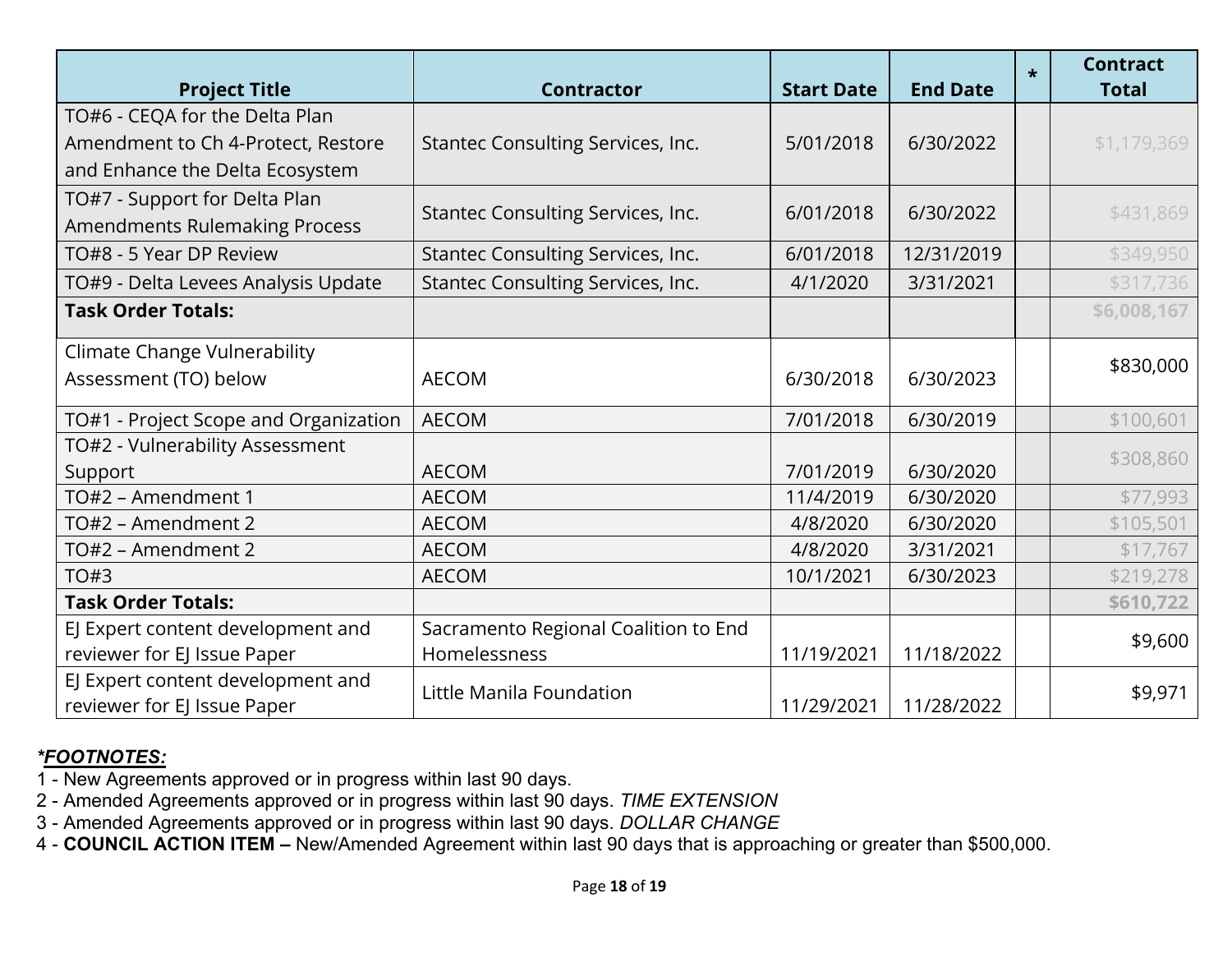| <b>Project Title</b>                                                                                    | <b>Contractor</b>                                    | <b>Start Date</b> | <b>End Date</b> | $\star$ | <b>Contract</b><br><b>Total</b> |
|---------------------------------------------------------------------------------------------------------|------------------------------------------------------|-------------------|-----------------|---------|---------------------------------|
| TO#6 - CEQA for the Delta Plan<br>Amendment to Ch 4-Protect, Restore<br>and Enhance the Delta Ecosystem | Stantec Consulting Services, Inc.                    | 5/01/2018         | 6/30/2022       |         | \$1,179,369                     |
| TO#7 - Support for Delta Plan<br><b>Amendments Rulemaking Process</b>                                   | Stantec Consulting Services, Inc.                    | 6/01/2018         | 6/30/2022       |         | \$431,869                       |
| TO#8 - 5 Year DP Review                                                                                 | Stantec Consulting Services, Inc.                    | 6/01/2018         | 12/31/2019      |         | \$349,950                       |
| TO#9 - Delta Levees Analysis Update                                                                     | Stantec Consulting Services, Inc.                    | 4/1/2020          | 3/31/2021       |         | \$317,736                       |
| <b>Task Order Totals:</b>                                                                               |                                                      |                   |                 |         | \$6,008,167                     |
| <b>Climate Change Vulnerability</b><br>Assessment (TO) below                                            | <b>AECOM</b>                                         | 6/30/2018         | 6/30/2023       |         | \$830,000                       |
| TO#1 - Project Scope and Organization                                                                   | <b>AECOM</b>                                         | 7/01/2018         | 6/30/2019       |         | \$100,601                       |
| TO#2 - Vulnerability Assessment<br>Support                                                              | <b>AECOM</b>                                         | 7/01/2019         | 6/30/2020       |         | \$308,860                       |
| TO#2 - Amendment 1                                                                                      | <b>AECOM</b>                                         | 11/4/2019         | 6/30/2020       |         | \$77,993                        |
| TO#2 - Amendment 2                                                                                      | <b>AECOM</b>                                         | 4/8/2020          | 6/30/2020       |         | \$105,501                       |
| TO#2 - Amendment 2                                                                                      | <b>AECOM</b>                                         | 4/8/2020          | 3/31/2021       |         | \$17,767                        |
| TO#3                                                                                                    | <b>AECOM</b>                                         | 10/1/2021         | 6/30/2023       |         | \$219,278                       |
| <b>Task Order Totals:</b>                                                                               |                                                      |                   |                 |         | \$610,722                       |
| EJ Expert content development and<br>reviewer for EJ Issue Paper                                        | Sacramento Regional Coalition to End<br>Homelessness | 11/19/2021        | 11/18/2022      |         | \$9,600                         |
| EJ Expert content development and<br>reviewer for EJ Issue Paper                                        | Little Manila Foundation                             | 11/29/2021        | 11/28/2022      |         | \$9,971                         |

1 - New Agreements approved or in progress within last 90 days.

2 - Amended Agreements approved or in progress within last 90 days. *TIME EXTENSION* 

3 - Amended Agreements approved or in progress within last 90 days. *DOLLAR CHANGE* 

4 - **COUNCIL ACTION ITEM –** New/Amended Agreement within last 90 days that is approaching or greater than \$500,000.